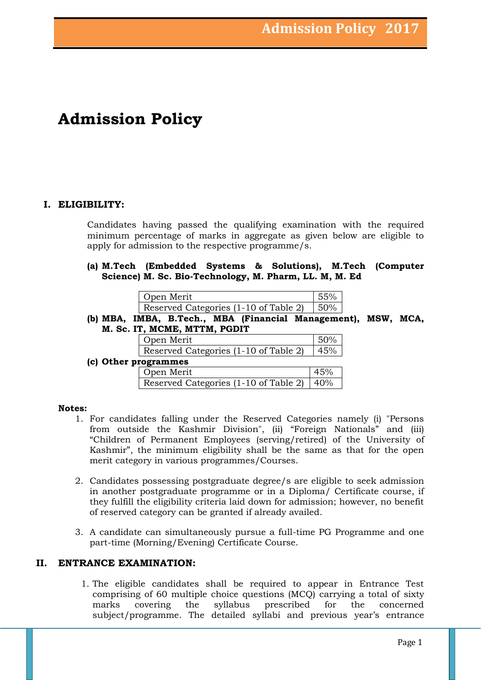# **Admission Policy**

# **I. ELIGIBILITY:**

Candidates having passed the qualifying examination with the required minimum percentage of marks in aggregate as given below are eligible to apply for admission to the respective programme/s.

**(a) M.Tech (Embedded Systems & Solutions), M.Tech (Computer Science) M. Sc. Bio-Technology, M. Pharm, LL. M, M. Ed** 

| Open Merit                                     | 55% |
|------------------------------------------------|-----|
| Reserved Categories $(1-10)$ of Table 2)   50% |     |

**(b) MBA, IMBA, B.Tech., MBA (Financial Management), MSW, MCA, M. Sc. IT, MCME, MTTM, PGDIT**

|                      | Open Merit                            |     |  |  |
|----------------------|---------------------------------------|-----|--|--|
|                      | Reserved Categories (1-10 of Table 2) | 45% |  |  |
| (c) Other programmes |                                       |     |  |  |
|                      | Open Merit                            | 45% |  |  |

| OPCII MEIIU                                    | $+1.170$ |
|------------------------------------------------|----------|
| Reserved Categories (1-10 of Table 2)   $40\%$ |          |

## **Notes:**

- 1. For candidates falling under the Reserved Categories namely (i) "Persons from outside the Kashmir Division", (ii) "Foreign Nationals" and (iii) "Children of Permanent Employees (serving/retired) of the University of Kashmir", the minimum eligibility shall be the same as that for the open merit category in various programmes/Courses.
- 2. Candidates possessing postgraduate degree/s are eligible to seek admission in another postgraduate programme or in a Diploma/ Certificate course, if they fulfill the eligibility criteria laid down for admission; however, no benefit of reserved category can be granted if already availed.
- 3. A candidate can simultaneously pursue a full-time PG Programme and one part-time (Morning/Evening) Certificate Course.

## **II. ENTRANCE EXAMINATION:**

1. The eligible candidates shall be required to appear in Entrance Test comprising of 60 multiple choice questions (MCQ) carrying a total of sixty marks covering the syllabus prescribed for the concerned subject/programme. The detailed syllabi and previous year's entrance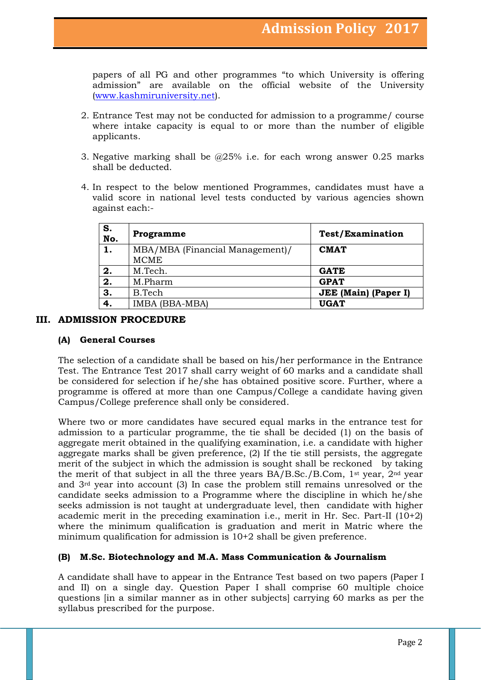papers of all PG and other programmes "to which University is offering admission" are available on the official website of the University [\(www.kashmiruniversity.net\)](http://www.kashmiruniversity.net/).

- 2. Entrance Test may not be conducted for admission to a programme/ course where intake capacity is equal to or more than the number of eligible applicants.
- 3. Negative marking shall be @25% i.e. for each wrong answer 0.25 marks shall be deducted.
- 4. In respect to the below mentioned Programmes, candidates must have a valid score in national level tests conducted by various agencies shown against each:-

| S.<br>No. | Programme                       | <b>Test/Examination</b>     |
|-----------|---------------------------------|-----------------------------|
| 1.        | MBA/MBA (Financial Management)/ | <b>CMAT</b>                 |
|           | <b>MCME</b>                     |                             |
| 2.        | M.Tech.                         | <b>GATE</b>                 |
| 2.        | M.Pharm                         | <b>GPAT</b>                 |
| 3.        | B.Tech                          | <b>JEE</b> (Main) (Paper I) |
| 4.        | IMBA (BBA-MBA)                  | <b>UGAT</b>                 |

## **III. ADMISSION PROCEDURE**

## **(A) General Courses**

The selection of a candidate shall be based on his/her performance in the Entrance Test. The Entrance Test 2017 shall carry weight of 60 marks and a candidate shall be considered for selection if he/she has obtained positive score. Further, where a programme is offered at more than one Campus/College a candidate having given Campus/College preference shall only be considered.

Where two or more candidates have secured equal marks in the entrance test for admission to a particular programme, the tie shall be decided (1) on the basis of aggregate merit obtained in the qualifying examination, i.e. a candidate with higher aggregate marks shall be given preference, (2) If the tie still persists, the aggregate merit of the subject in which the admission is sought shall be reckoned by taking the merit of that subject in all the three years BA/B.Sc./B.Com, 1st year, 2nd year and 3rd year into account (3) In case the problem still remains unresolved or the candidate seeks admission to a Programme where the discipline in which he/she seeks admission is not taught at undergraduate level, then candidate with higher academic merit in the preceding examination i.e., merit in Hr. Sec. Part-II (10+2) where the minimum qualification is graduation and merit in Matric where the minimum qualification for admission is 10+2 shall be given preference.

## **(B) M.Sc. Biotechnology and M.A. Mass Communication & Journalism**

A candidate shall have to appear in the Entrance Test based on two papers (Paper I and II) on a single day. Question Paper I shall comprise 60 multiple choice questions [in a similar manner as in other subjects] carrying 60 marks as per the syllabus prescribed for the purpose.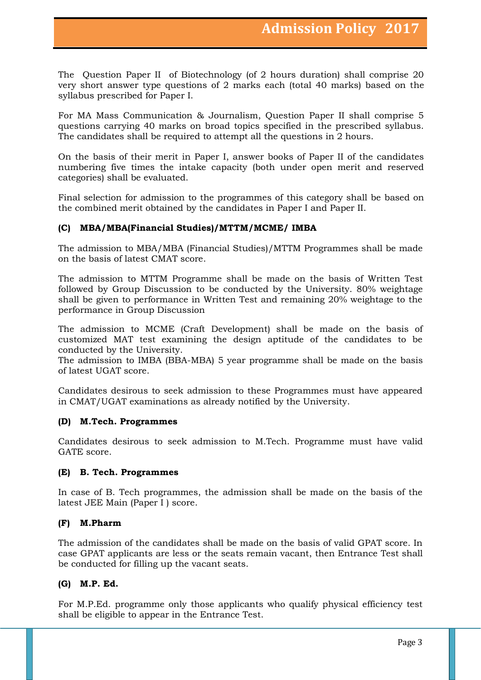The Question Paper II of Biotechnology (of 2 hours duration) shall comprise 20 very short answer type questions of 2 marks each (total 40 marks) based on the syllabus prescribed for Paper I.

For MA Mass Communication & Journalism, Question Paper II shall comprise 5 questions carrying 40 marks on broad topics specified in the prescribed syllabus. The candidates shall be required to attempt all the questions in 2 hours.

On the basis of their merit in Paper I, answer books of Paper II of the candidates numbering five times the intake capacity (both under open merit and reserved categories) shall be evaluated.

Final selection for admission to the programmes of this category shall be based on the combined merit obtained by the candidates in Paper I and Paper II.

## **(C) MBA/MBA(Financial Studies)/MTTM/MCME/ IMBA**

The admission to MBA/MBA (Financial Studies)/MTTM Programmes shall be made on the basis of latest CMAT score.

The admission to MTTM Programme shall be made on the basis of Written Test followed by Group Discussion to be conducted by the University. 80% weightage shall be given to performance in Written Test and remaining 20% weightage to the performance in Group Discussion

The admission to MCME (Craft Development) shall be made on the basis of customized MAT test examining the design aptitude of the candidates to be conducted by the University.

The admission to IMBA (BBA-MBA) 5 year programme shall be made on the basis of latest UGAT score.

Candidates desirous to seek admission to these Programmes must have appeared in CMAT/UGAT examinations as already notified by the University.

#### **(D) M.Tech. Programmes**

Candidates desirous to seek admission to M.Tech. Programme must have valid GATE score.

#### **(E) B. Tech. Programmes**

In case of B. Tech programmes, the admission shall be made on the basis of the latest JEE Main (Paper I ) score.

#### **(F) M.Pharm**

The admission of the candidates shall be made on the basis of valid GPAT score. In case GPAT applicants are less or the seats remain vacant, then Entrance Test shall be conducted for filling up the vacant seats.

#### **(G) M.P. Ed.**

For M.P.Ed. programme only those applicants who qualify physical efficiency test shall be eligible to appear in the Entrance Test.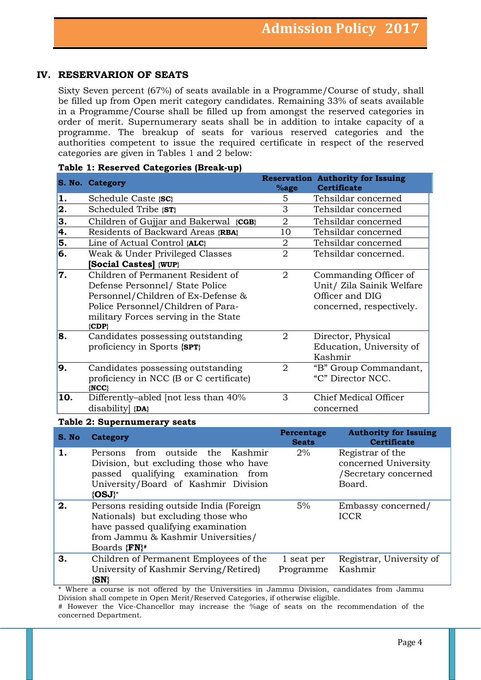# **IV. RESERVARION OF SEATS**

Sixty Seven percent (67%) of seats available in a Programme/Course of study, shall be filled up from Open merit category candidates. Remaining 33% of seats available in a Programme/Course shall be filled up from amongst the reserved categories in order of merit. Supernumerary seats shall be in addition to intake capacity of a programme. The breakup of seats for various reserved categories and the authorities competent to issue the required certificate in respect of the reserved categories are given in Tables 1 and 2 below:

|     | S. No. Category                                                                                                                                                                                       | $%$ age        | <b>Reservation Authority for Issuing</b><br><b>Certificate</b>                                    |
|-----|-------------------------------------------------------------------------------------------------------------------------------------------------------------------------------------------------------|----------------|---------------------------------------------------------------------------------------------------|
| 1.  | Schedule Caste {SC}                                                                                                                                                                                   | 5              | Tehsildar concerned                                                                               |
| 2.  | Scheduled Tribe {ST}                                                                                                                                                                                  | 3              | Tehsildar concerned                                                                               |
| 3.  | Children of Gujjar and Bakerwal {CGB}                                                                                                                                                                 | $\overline{2}$ | Tehsildar concerned                                                                               |
| 4.  | Residents of Backward Areas {RBA}                                                                                                                                                                     | 10             | Tehsildar concerned                                                                               |
| 5.  | Line of Actual Control {ALC}                                                                                                                                                                          | 2              | Tehsildar concerned                                                                               |
| 6.  | Weak & Under Privileged Classes                                                                                                                                                                       | $\overline{2}$ | Tehsildar concerned.                                                                              |
|     | <b>Social Castes</b> {WUP}                                                                                                                                                                            |                |                                                                                                   |
| 7.  | Children of Permanent Resident of<br>Defense Personnel/ State Police<br>Personnel/Children of Ex-Defense &<br>Police Personnel/Children of Para-<br>military Forces serving in the State<br>$\{CDP\}$ | 2              | Commanding Officer of<br>Unit/ Zila Sainik Welfare<br>Officer and DIG<br>concerned, respectively. |
| 8.  | Candidates possessing outstanding<br>proficiency in Sports {SPT}                                                                                                                                      | $\overline{2}$ | Director, Physical<br>Education, University of<br>Kashmir                                         |
| 9.  | Candidates possessing outstanding<br>proficiency in NCC (B or C certificate)<br>${NCC}$                                                                                                               | 2              | "B" Group Commandant,<br>"C" Director NCC.                                                        |
| 10. | Differently-abled [not less than 40%<br>disability {DA}                                                                                                                                               | 3              | Chief Medical Officer<br>concerned                                                                |

#### **Table 1: Reserved Categories (Break-up)**

#### **Table 2: Supernumerary seats**

| S. No. | Category                                                                                                                                                                                | Percentage<br><b>Seats</b> | <b>Authority for Issuing</b><br><b>Certificate</b>                         |
|--------|-----------------------------------------------------------------------------------------------------------------------------------------------------------------------------------------|----------------------------|----------------------------------------------------------------------------|
| 1.     | from outside the Kashmir<br>Persons<br>Division, but excluding those who have<br>passed qualifying examination<br>from<br>University/Board of Kashmir Division<br>$\{OSJ\}^*$           | 2%                         | Registrar of the<br>concerned University<br>/Secretary concerned<br>Board. |
| 2.     | Persons residing outside India (Foreign<br>Nationals) but excluding those who<br>have passed qualifying examination<br>from Jammu & Kashmir Universities/<br>Boards ${FN}$ <sup>#</sup> | 5%                         | Embassy concerned/<br><b>ICCR</b>                                          |
| 3.     | Children of Permanent Employees of the<br>University of Kashmir Serving/Retired)<br>$\{SN\}$                                                                                            | 1 seat per<br>Programme    | Registrar, University of<br>Kashmir                                        |

\* Where a course is not offered by the Universities in Jammu Division, candidates from Jammu Division shall compete in Open Merit/Reserved Categories, if otherwise eligible.

# However the Vice-Chancellor may increase the %age of seats on the recommendation of the concerned Department.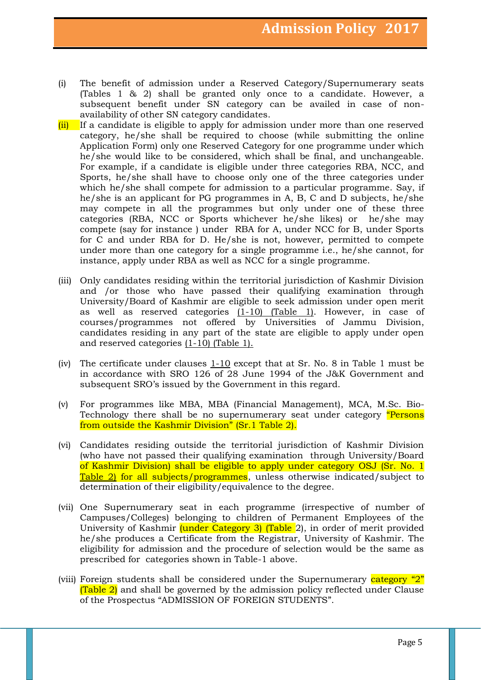- (i) The benefit of admission under a Reserved Category/Supernumerary seats (Tables 1 & 2) shall be granted only once to a candidate. However, a subsequent benefit under SN category can be availed in case of nonavailability of other SN category candidates.
- (ii) If a candidate is eligible to apply for admission under more than one reserved category, he/she shall be required to choose (while submitting the online Application Form) only one Reserved Category for one programme under which he/she would like to be considered, which shall be final, and unchangeable. For example, if a candidate is eligible under three categories RBA, NCC, and Sports, he/she shall have to choose only one of the three categories under which he/she shall compete for admission to a particular programme. Say, if he/she is an applicant for PG programmes in A, B, C and D subjects, he/she may compete in all the programmes but only under one of these three categories (RBA, NCC or Sports whichever he/she likes) or he/she may compete (say for instance ) under RBA for A, under NCC for B, under Sports for C and under RBA for D. He/she is not, however, permitted to compete under more than one category for a single programme i.e., he/she cannot, for instance, apply under RBA as well as NCC for a single programme.
- (iii) Only candidates residing within the territorial jurisdiction of Kashmir Division and /or those who have passed their qualifying examination through University/Board of Kashmir are eligible to seek admission under open merit as well as reserved categories  $(1-10)$  (Table 1). However, in case of courses/programmes not offered by Universities of Jammu Division, candidates residing in any part of the state are eligible to apply under open and reserved categories (1-10) (Table 1).
- (iv) The certificate under clauses 1-10 except that at Sr. No. 8 in Table 1 must be in accordance with SRO 126 of 28 June 1994 of the J&K Government and subsequent SRO's issued by the Government in this regard.
- (v) For programmes like MBA, MBA (Financial Management), MCA, M.Sc. Bio-Technology there shall be no supernumerary seat under category "Persons" from outside the Kashmir Division" (Sr.1 Table 2).
- (vi) Candidates residing outside the territorial jurisdiction of Kashmir Division (who have not passed their qualifying examination through University/Board of Kashmir Division) shall be eligible to apply under category OSJ (Sr. No. 1 Table 2) for all subjects/programmes, unless otherwise indicated/subject to determination of their eligibility/equivalence to the degree.
- (vii) One Supernumerary seat in each programme (irrespective of number of Campuses/Colleges) belonging to children of Permanent Employees of the University of Kashmir *(under Category 3) (Table 2)*, in order of merit provided he/she produces a Certificate from the Registrar, University of Kashmir. The eligibility for admission and the procedure of selection would be the same as prescribed for categories shown in Table-1 above.
- (viii) Foreign students shall be considered under the Supernumerary category " $2$ "  $(Table 2)$  and shall be governed by the admission policy reflected under Clause of the Prospectus "ADMISSION OF FOREIGN STUDENTS".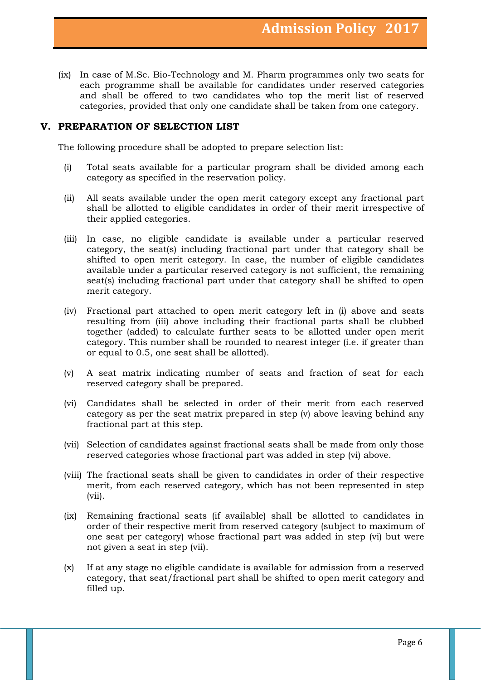(ix) In case of M.Sc. Bio-Technology and M. Pharm programmes only two seats for each programme shall be available for candidates under reserved categories and shall be offered to two candidates who top the merit list of reserved categories, provided that only one candidate shall be taken from one category.

## **V. PREPARATION OF SELECTION LIST**

The following procedure shall be adopted to prepare selection list:

- (i) Total seats available for a particular program shall be divided among each category as specified in the reservation policy.
- (ii) All seats available under the open merit category except any fractional part shall be allotted to eligible candidates in order of their merit irrespective of their applied categories.
- (iii) In case, no eligible candidate is available under a particular reserved category, the seat(s) including fractional part under that category shall be shifted to open merit category. In case, the number of eligible candidates available under a particular reserved category is not sufficient, the remaining seat(s) including fractional part under that category shall be shifted to open merit category.
- (iv) Fractional part attached to open merit category left in (i) above and seats resulting from (iii) above including their fractional parts shall be clubbed together (added) to calculate further seats to be allotted under open merit category. This number shall be rounded to nearest integer (i.e. if greater than or equal to 0.5, one seat shall be allotted).
- (v) A seat matrix indicating number of seats and fraction of seat for each reserved category shall be prepared.
- (vi) Candidates shall be selected in order of their merit from each reserved category as per the seat matrix prepared in step (v) above leaving behind any fractional part at this step.
- (vii) Selection of candidates against fractional seats shall be made from only those reserved categories whose fractional part was added in step (vi) above.
- (viii) The fractional seats shall be given to candidates in order of their respective merit, from each reserved category, which has not been represented in step (vii).
- (ix) Remaining fractional seats (if available) shall be allotted to candidates in order of their respective merit from reserved category (subject to maximum of one seat per category) whose fractional part was added in step (vi) but were not given a seat in step (vii).
- (x) If at any stage no eligible candidate is available for admission from a reserved category, that seat/fractional part shall be shifted to open merit category and filled up.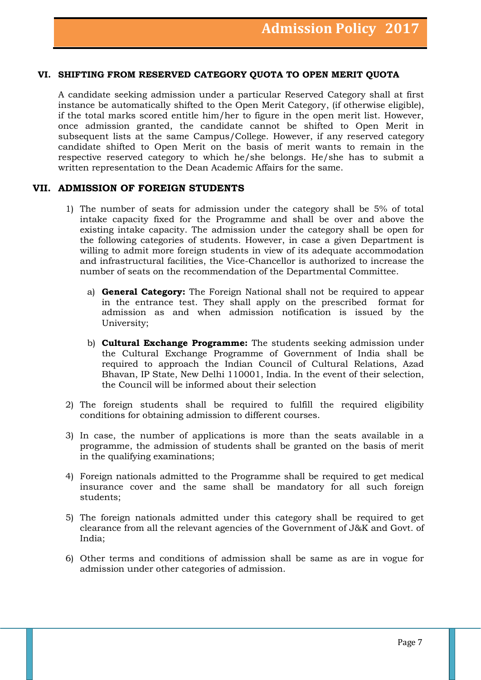## **VI. SHIFTING FROM RESERVED CATEGORY QUOTA TO OPEN MERIT QUOTA**

A candidate seeking admission under a particular Reserved Category shall at first instance be automatically shifted to the Open Merit Category, (if otherwise eligible), if the total marks scored entitle him/her to figure in the open merit list. However, once admission granted, the candidate cannot be shifted to Open Merit in subsequent lists at the same Campus/College. However, if any reserved category candidate shifted to Open Merit on the basis of merit wants to remain in the respective reserved category to which he/she belongs. He/she has to submit a written representation to the Dean Academic Affairs for the same.

#### **VII. ADMISSION OF FOREIGN STUDENTS**

- 1) The number of seats for admission under the category shall be 5% of total intake capacity fixed for the Programme and shall be over and above the existing intake capacity. The admission under the category shall be open for the following categories of students. However, in case a given Department is willing to admit more foreign students in view of its adequate accommodation and infrastructural facilities, the Vice-Chancellor is authorized to increase the number of seats on the recommendation of the Departmental Committee.
	- a) **General Category:** The Foreign National shall not be required to appear in the entrance test. They shall apply on the prescribed format for admission as and when admission notification is issued by the University;
	- b) **Cultural Exchange Programme:** The students seeking admission under the Cultural Exchange Programme of Government of India shall be required to approach the Indian Council of Cultural Relations, Azad Bhavan, IP State, New Delhi 110001, India. In the event of their selection, the Council will be informed about their selection
- 2) The foreign students shall be required to fulfill the required eligibility conditions for obtaining admission to different courses.
- 3) In case, the number of applications is more than the seats available in a programme, the admission of students shall be granted on the basis of merit in the qualifying examinations;
- 4) Foreign nationals admitted to the Programme shall be required to get medical insurance cover and the same shall be mandatory for all such foreign students;
- 5) The foreign nationals admitted under this category shall be required to get clearance from all the relevant agencies of the Government of J&K and Govt. of India;
- 6) Other terms and conditions of admission shall be same as are in vogue for admission under other categories of admission.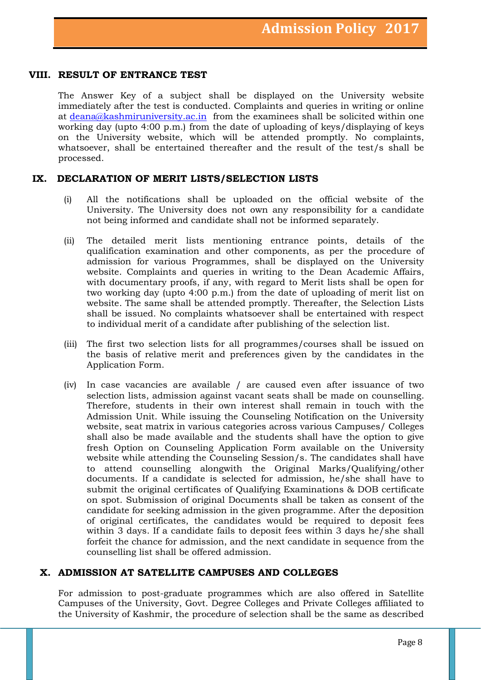## **VIII. RESULT OF ENTRANCE TEST**

The Answer Key of a subject shall be displayed on the University website immediately after the test is conducted. Complaints and queries in writing or online at [deana@kashmiruniversity.ac.in](mailto:deana@kashmiruniversity.ac.in) from the examinees shall be solicited within one working day (upto 4:00 p.m.) from the date of uploading of keys/displaying of keys on the University website, which will be attended promptly. No complaints, whatsoever, shall be entertained thereafter and the result of the test/s shall be processed.

## **IX. DECLARATION OF MERIT LISTS/SELECTION LISTS**

- (i) All the notifications shall be uploaded on the official website of the University. The University does not own any responsibility for a candidate not being informed and candidate shall not be informed separately.
- (ii) The detailed merit lists mentioning entrance points, details of the qualification examination and other components, as per the procedure of admission for various Programmes, shall be displayed on the University website. Complaints and queries in writing to the Dean Academic Affairs, with documentary proofs, if any, with regard to Merit lists shall be open for two working day (upto 4:00 p.m.) from the date of uploading of merit list on website. The same shall be attended promptly. Thereafter, the Selection Lists shall be issued. No complaints whatsoever shall be entertained with respect to individual merit of a candidate after publishing of the selection list.
- (iii) The first two selection lists for all programmes/courses shall be issued on the basis of relative merit and preferences given by the candidates in the Application Form.
- (iv) In case vacancies are available / are caused even after issuance of two selection lists, admission against vacant seats shall be made on counselling. Therefore, students in their own interest shall remain in touch with the Admission Unit. While issuing the Counseling Notification on the University website, seat matrix in various categories across various Campuses/ Colleges shall also be made available and the students shall have the option to give fresh Option on Counseling Application Form available on the University website while attending the Counseling Session/s. The candidates shall have to attend counselling alongwith the Original Marks/Qualifying/other documents. If a candidate is selected for admission, he/she shall have to submit the original certificates of Qualifying Examinations & DOB certificate on spot. Submission of original Documents shall be taken as consent of the candidate for seeking admission in the given programme. After the deposition of original certificates, the candidates would be required to deposit fees within 3 days. If a candidate fails to deposit fees within 3 days he/she shall forfeit the chance for admission, and the next candidate in sequence from the counselling list shall be offered admission.

## **X. ADMISSION AT SATELLITE CAMPUSES AND COLLEGES**

For admission to post-graduate programmes which are also offered in Satellite Campuses of the University, Govt. Degree Colleges and Private Colleges affiliated to the University of Kashmir, the procedure of selection shall be the same as described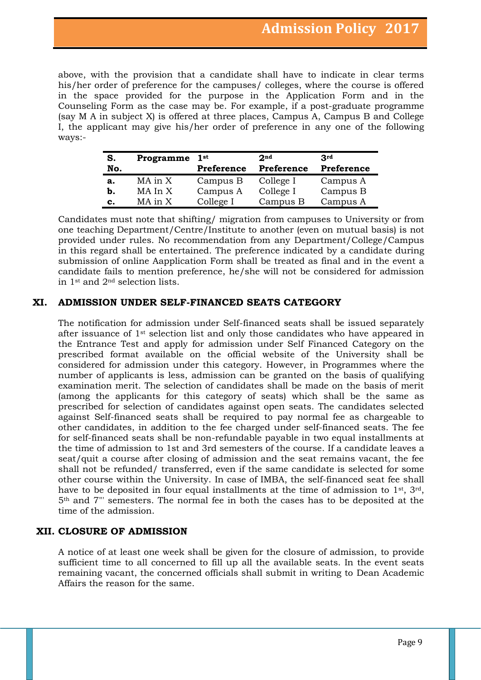above, with the provision that a candidate shall have to indicate in clear terms his/her order of preference for the campuses/ colleges, where the course is offered in the space provided for the purpose in the Application Form and in the Counseling Form as the case may be. For example, if a post-graduate programme (say M A in subject X) is offered at three places, Campus A, Campus B and College I, the applicant may give his/her order of preference in any one of the following ways:-

| S.<br>No. | Programme | 1st<br>Preference | 2 <sub>nd</sub><br>Preference | 3rd<br>Preference |
|-----------|-----------|-------------------|-------------------------------|-------------------|
| а.        | MA in X   | Campus B          | College I                     | Campus A          |
| b.        | MA In X   | Campus A          | College I                     | Campus B          |
| c.        | MA in X   | College I         | Campus B                      | Campus A          |

Candidates must note that shifting/ migration from campuses to University or from one teaching Department/Centre/Institute to another (even on mutual basis) is not provided under rules. No recommendation from any Department/College/Campus in this regard shall be entertained. The preference indicated by a candidate during submission of online Aapplication Form shall be treated as final and in the event a candidate fails to mention preference, he/she will not be considered for admission in 1st and 2nd selection lists.

## **XI. ADMISSION UNDER SELF-FINANCED SEATS CATEGORY**

The notification for admission under Self-financed seats shall be issued separately after issuance of 1st selection list and only those candidates who have appeared in the Entrance Test and apply for admission under Self Financed Category on the prescribed format available on the official website of the University shall be considered for admission under this category. However, in Programmes where the number of applicants is less, admission can be granted on the basis of qualifying examination merit. The selection of candidates shall be made on the basis of merit (among the applicants for this category of seats) which shall be the same as prescribed for selection of candidates against open seats. The candidates selected against Self-financed seats shall be required to pay normal fee as chargeable to other candidates, in addition to the fee charged under self-financed seats. The fee for self-financed seats shall be non-refundable payable in two equal installments at the time of admission to 1st and 3rd semesters of the course. If a candidate leaves a seat/quit a course after closing of admission and the seat remains vacant, the fee shall not be refunded/ transferred, even if the same candidate is selected for some other course within the University. In case of IMBA, the self-financed seat fee shall have to be deposited in four equal installments at the time of admission to 1st, 3rd, 5th and 7"' semesters. The normal fee in both the cases has to be deposited at the time of the admission.

# **XII. CLOSURE OF ADMISSION**

A notice of at least one week shall be given for the closure of admission, to provide sufficient time to all concerned to fill up all the available seats. In the event seats remaining vacant, the concerned officials shall submit in writing to Dean Academic Affairs the reason for the same.